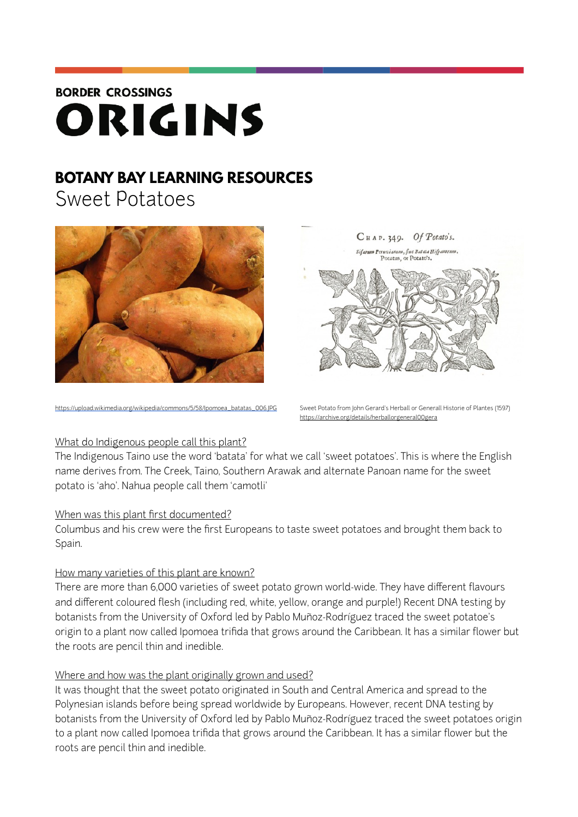# **BORDER CROSSINGS** ORIGINS

# **BOTANY BAY LEARNING RESOURCES**

Sweet Potatoes



[https://upload.wikimedia.org/wikipedia/commons/5/58/Ipomoea\\_batatas\\_006.JPG](https://upload.wikimedia.org/wikipedia/commons/5/58/Ipomoea_batatas_006.JPG) Sweet Potato from John Gerard's Herball or Generall Historie of Plantes (1597)



<https://archive.org/details/herballorgeneral00gera>

## What do Indigenous people call this plant?

The Indigenous Taino use the word 'batata' for what we call 'sweet potatoes'. This is where the English name derives from. The Creek, Taino, Southern Arawak and alternate Panoan name for the sweet potato is 'aho'. Nahua people call them 'camotli'

# When was this plant first documented?

Columbus and his crew were the first Europeans to taste sweet potatoes and brought them back to Spain.

# How many varieties of this plant are known?

There are more than 6,000 varieties of sweet potato grown world-wide. They have different flavours and different coloured flesh (including red, white, yellow, orange and purple!) Recent DNA testing by botanists from the University of Oxford led by Pablo Muñoz-Rodríguez traced the sweet potatoe's origin to a plant now called Ipomoea trifida that grows around the Caribbean. It has a similar flower but the roots are pencil thin and inedible.

# Where and how was the plant originally grown and used?

It was thought that the sweet potato originated in South and Central America and spread to the Polynesian islands before being spread worldwide by Europeans. However, recent DNA testing by botanists from the University of Oxford led by Pablo Muñoz-Rodríguez traced the sweet potatoes origin to a plant now called Ipomoea trifida that grows around the Caribbean. It has a similar flower but the roots are pencil thin and inedible.